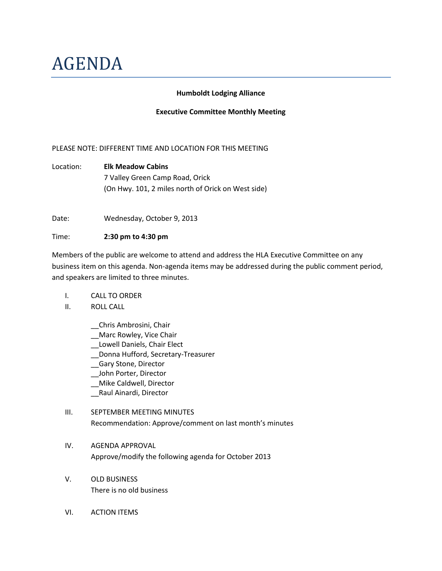# AGENDA

#### **Humboldt Lodging Alliance**

#### **Executive Committee Monthly Meeting**

## PLEASE NOTE: DIFFERENT TIME AND LOCATION FOR THIS MEETING

Location: **Elk Meadow Cabins** 7 Valley Green Camp Road, Orick (On Hwy. 101, 2 miles north of Orick on West side)

Date: Wednesday, October 9, 2013

#### Time: **2:30 pm to 4:30 pm**

Members of the public are welcome to attend and address the HLA Executive Committee on any business item on this agenda. Non-agenda items may be addressed during the public comment period, and speakers are limited to three minutes.

- I. CALL TO ORDER
- II. ROLL CALL
	- \_\_Chris Ambrosini, Chair
	- \_\_Marc Rowley, Vice Chair
	- Lowell Daniels, Chair Elect
	- \_\_Donna Hufford, Secretary-Treasurer
	- \_\_Gary Stone, Director
	- \_\_John Porter, Director
	- \_\_Mike Caldwell, Director
	- \_\_Raul Ainardi, Director

# III. SEPTEMBER MEETING MINUTES

- Recommendation: Approve/comment on last month's minutes
- IV. AGENDA APPROVAL Approve/modify the following agenda for October 2013
- V. OLD BUSINESS There is no old business
- VI. ACTION ITEMS